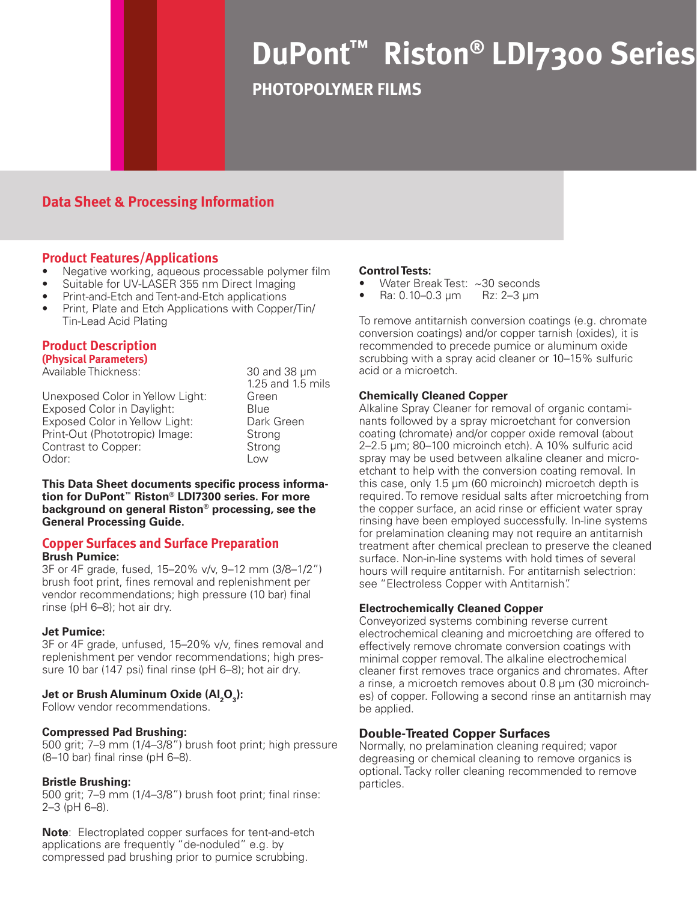# **DuPont™ Riston® LDI7300 Series**

**PHOTOPOLYMER FILMS**

# **Data Sheet & Processing Information**

# **Product Features/Applications**

- Negative working, aqueous processable polymer film
- Suitable for UV-LASER 355 nm Direct Imaging
- Print-and-Etch and Tent-and-Etch applications
- Print, Plate and Etch Applications with Copper/Tin/ Tin-Lead Acid Plating

# **Product Description**

**(Physical Parameters)** Available Thickness:  $\overline{)}$  30 and 38 um

|                                   | 1.25 and 1.5 mils |
|-----------------------------------|-------------------|
| Unexposed Color in Yellow Light:  | Green             |
| <b>Exposed Color in Daylight:</b> | Blue              |
| Exposed Color in Yellow Light:    | Dark Green        |
| Print-Out (Phototropic) Image:    | Strong            |
| Contrast to Copper:               | Strong            |
| Odor:                             | l ow              |

**This Data Sheet documents specific process information for DuPont™ Riston® LDI7300 series. For more background on general Riston® processing, see the General Processing Guide.**

#### **Copper Surfaces and Surface Preparation Brush Pumice:**

3F or 4F grade, fused, 15–20% v/v, 9–12 mm (3/8–1/2") brush foot print, fines removal and replenishment per vendor recommendations; high pressure (10 bar) final rinse (pH 6–8); hot air dry.

## **Jet Pumice:**

3F or 4F grade, unfused, 15–20% v/v, fines removal and replenishment per vendor recommendations; high pressure 10 bar (147 psi) final rinse (pH 6–8); hot air dry.

# **Jet or Brush Aluminum Oxide (Al<sub>2</sub>O<sub>3</sub>):**

Follow vendor recommendations.

## **Compressed Pad Brushing:**

500 grit; 7–9 mm (1/4–3/8") brush foot print; high pressure (8–10 bar) final rinse (pH 6–8).

## **Bristle Brushing:**

500 grit; 7–9 mm (1/4–3/8") brush foot print; final rinse: 2–3 (pH 6–8).

**Note**: Electroplated copper surfaces for tent-and-etch applications are frequently "de-noduled" e.g. by compressed pad brushing prior to pumice scrubbing.

#### **Control Tests:**

- Water Break Test:  $\sim$ 30 seconds<br>Ra: 0.10–0.3 µm Rz: 2–3 µm
- $Ra: 0.10-0.3 \mu m$

To remove antitarnish conversion coatings (e.g. chromate conversion coatings) and/or copper tarnish (oxides), it is recommended to precede pumice or aluminum oxide scrubbing with a spray acid cleaner or 10–15% sulfuric acid or a microetch.

#### **Chemically Cleaned Copper**

Alkaline Spray Cleaner for removal of organic contaminants followed by a spray microetchant for conversion coating (chromate) and/or copper oxide removal (about 2–2.5 µm; 80–100 microinch etch). A 10% sulfuric acid spray may be used between alkaline cleaner and microetchant to help with the conversion coating removal. In this case, only 1.5 µm (60 microinch) microetch depth is required. To remove residual salts after microetching from the copper surface, an acid rinse or efficient water spray rinsing have been employed successfully. In-line systems for prelamination cleaning may not require an antitarnish treatment after chemical preclean to preserve the cleaned surface. Non-in-line systems with hold times of several hours will require antitarnish. For antitarnish selectrion: see "Electroless Copper with Antitarnish".

## **Electrochemically Cleaned Copper**

Conveyorized systems combining reverse current electrochemical cleaning and microetching are offered to effectively remove chromate conversion coatings with minimal copper removal. The alkaline electrochemical cleaner first removes trace organics and chromates. After a rinse, a microetch removes about 0.8 µm (30 microinches) of copper. Following a second rinse an antitarnish may be applied.

## **Double-Treated Copper Surfaces**

Normally, no prelamination cleaning required; vapor degreasing or chemical cleaning to remove organics is optional. Tacky roller cleaning recommended to remove particles.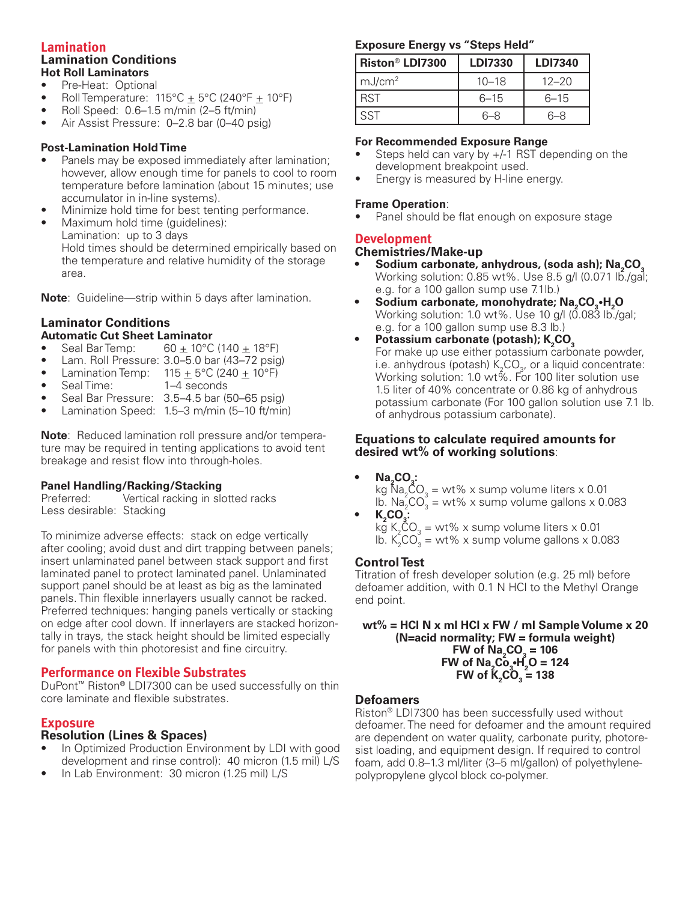#### **Lamination Lamination Conditions Hot Roll Laminators**

- Pre-Heat: Optional
- Roll Temperature:  $115^{\circ}C \pm 5^{\circ}C$  (240°F  $\pm$  10°F)
- Roll Speed:  $0.6-1.5$  m/min (2–5 ft/min)
- Air Assist Pressure: 0-2.8 bar (0-40 psig)

## **Post-Lamination Hold Time**

- Panels may be exposed immediately after lamination; however, allow enough time for panels to cool to room temperature before lamination (about 15 minutes; use accumulator in in-line systems).
- Minimize hold time for best tenting performance.
- Maximum hold time (guidelines): Lamination: up to 3 days Hold times should be determined empirically based on the temperature and relative humidity of the storage area.

**Note**: Guideline—strip within 5 days after lamination.

#### **Laminator Conditions Automatic Cut Sheet Laminator**

- Seal Bar Temp:  $60 \pm 10^{\circ}$ C (140  $\pm 18^{\circ}$ F)
- Lam. Roll Pressure: 3.0–5.0 bar (43–72 psig)
- Lamination Temp:  $115 \pm 5^{\circ}$ C (240  $\pm 10^{\circ}$ F)
- Seal Time: 1–4 seconds
- Seal Bar Pressure: 3.5–4.5 bar (50–65 psig)
- Lamination Speed: 1.5–3 m/min (5–10 ft/min)

**Note**: Reduced lamination roll pressure and/or temperature may be required in tenting applications to avoid tent breakage and resist flow into through-holes.

#### **Panel Handling/Racking/Stacking**

Preferred: Vertical racking in slotted racks Less desirable: Stacking

To minimize adverse effects: stack on edge vertically after cooling; avoid dust and dirt trapping between panels; insert unlaminated panel between stack support and first laminated panel to protect laminated panel. Unlaminated support panel should be at least as big as the laminated panels. Thin flexible innerlayers usually cannot be racked. Preferred techniques: hanging panels vertically or stacking on edge after cool down. If innerlayers are stacked horizontally in trays, the stack height should be limited especially for panels with thin photoresist and fine circuitry.

## **Performance on Flexible Substrates**

DuPont™ Riston® LDI7300 can be used successfully on thin core laminate and flexible substrates.

## **Exposure**

## **Resolution (Lines & Spaces)**

- In Optimized Production Environment by LDI with good development and rinse control): 40 micron (1.5 mil) L/S
- In Lab Environment: 30 micron (1.25 mil) L/S

#### **Exposure Energy vs "Steps Held"**

| Riston <sup>®</sup> LDI7300 | <b>LDI7330</b> | <b>LDI7340</b> |
|-----------------------------|----------------|----------------|
| mJ/cm <sup>2</sup>          | $10 - 18$      | $12 - 20$      |
| <b>RST</b>                  | $6 - 15$       | $6 - 15$       |
| <b>SST</b>                  | 6–8            | 6-8            |

#### **For Recommended Exposure Range**

- Steps held can vary by  $+/-1$  RST depending on the development breakpoint used.
- Energy is measured by H-line energy.

#### **Frame Operation**:

Panel should be flat enough on exposure stage

## **Development**

#### **Chemistries/Make-up**

- Sodium carbonate, anhydrous, (soda ash); Na<sub>2</sub>CO<sub>3</sub> Working solution:  $0.85 \text{ wt\%}$ . Use  $8.5 \text{ g/l}$  (0.071 lb./gal; e.g. for a 100 gallon sump use 7.1lb.)
- Sodium carbonate, monohydrate; Na<sub>2</sub>CO<sub>3</sub>·H<sub>2</sub>O Working solution: 1.0 wt%. Use 10 g/l (0.083 lb./gal; e.g. for a 100 gallon sump use 8.3 lb.)
- Potassium carbonate (potash); K<sub>2</sub>CO<sub>3</sub> For make up use either potassium carbonate powder, i.e. anhydrous (potash)  $\mathsf{K}_2\mathsf{CO}_{3'}$  or a liquid concentrate: Working solution: 1.0 wt%. For 100 liter solution use 1.5 liter of 40% concentrate or 0.86 kg of anhydrous potassium carbonate (For 100 gallon solution use 7.1 lb. of anhydrous potassium carbonate).

#### **Equations to calculate required amounts for desired wt% of working solutions**:

• **Na<sub>2</sub>CO<sub>3</sub>:** 

kg  $\text{Na}_2\text{CO}_3 = \text{wt}\%$  x sump volume liters x 0.01 lb.  $\text{Na}_{2}^{\circ}\text{CO}_{3}^{\circ}$  = wt% x sump volume gallons x 0.083

•  $K_2$ **CO**<sub>3</sub>:  $\log K_2CO_3 = \text{wt\%} \times \text{sump}$  volume liters x 0.01 lb.  $K_2^{\circ}CO_3^{\circ}$  = wt% x sump volume gallons x 0.083

## **Control Test**

Titration of fresh developer solution (e.g. 25 ml) before defoamer addition, with 0.1 N HCl to the Methyl Orange end point.

**wt% = HCl N x ml HCl x FW / ml Sample Volume x 20 (N=acid normality; FW = formula weight)**  $FW of Na<sub>2</sub>CO<sub>3</sub> = 106$  $FW of Na<sub>2</sub>Co<sub>3</sub>·H<sub>2</sub>O = 124$  $FW of K_{2}CO_{3} = 138$ 

## **Defoamers**

Riston® LDI7300 has been successfully used without defoamer. The need for defoamer and the amount required are dependent on water quality, carbonate purity, photoresist loading, and equipment design. If required to control foam, add 0.8–1.3 ml/liter (3–5 ml/gallon) of polyethylenepolypropylene glycol block co-polymer.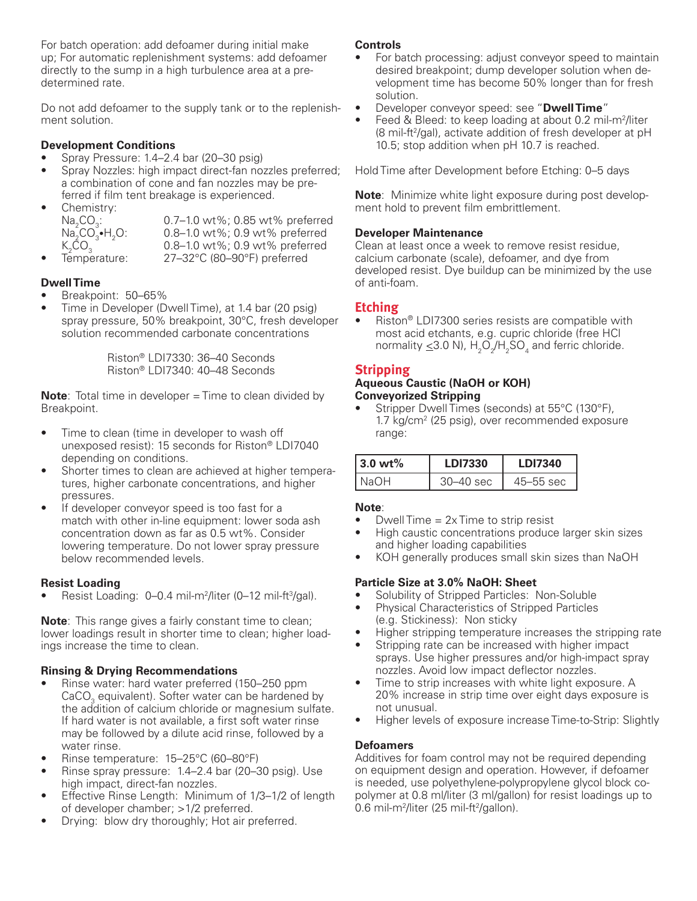For batch operation: add defoamer during initial make up; For automatic replenishment systems: add defoamer directly to the sump in a high turbulence area at a predetermined rate.

Do not add defoamer to the supply tank or to the replenishment solution.

## **Development Conditions**

- Spray Pressure: 1.4–2.4 bar (20–30 psig)
- Spray Nozzles: high impact direct-fan nozzles preferred; a combination of cone and fan nozzles may be preferred if film tent breakage is experienced.
- Chemistry:  $Na<sub>2</sub>CO<sub>3</sub>$  $Na_2^-CO_3^-$ • $H_2^ K_2$ CO<sub>3</sub>
	- 0.7–1.0 wt%; 0.85 wt% preferred 0.8–1.0 wt%; 0.9 wt% preferred
	- 0.8–1.0 wt%; 0.9 wt% preferred
- Temperature: 27–32°C (80–90°F) preferred

# **Dwell Time**

- Breakpoint: 50-65%
- Time in Developer (Dwell Time), at 1.4 bar (20 psig) spray pressure, 50% breakpoint, 30°C, fresh developer solution recommended carbonate concentrations

Riston® LDI7330: 36–40 Seconds Riston® LDI7340: 40–48 Seconds

**Note**: Total time in developer = Time to clean divided by Breakpoint.

- Time to clean (time in developer to wash off unexposed resist): 15 seconds for Riston® LDI7040 depending on conditions.
- Shorter times to clean are achieved at higher temperatures, higher carbonate concentrations, and higher pressures.
- If developer conveyor speed is too fast for a match with other in-line equipment: lower soda ash concentration down as far as 0.5 wt%. Consider lowering temperature. Do not lower spray pressure below recommended levels.

## **Resist Loading**

• Resist Loading: 0-0.4 mil-m<sup>2</sup>/liter (0-12 mil-ft<sup>3</sup>/gal).

**Note**: This range gives a fairly constant time to clean; lower loadings result in shorter time to clean; higher loadings increase the time to clean.

## **Rinsing & Drying Recommendations**

- Rinse water: hard water preferred (150–250 ppm) CaCO<sub>3</sub> equivalent). Softer water can be hardened by the addition of calcium chloride or magnesium sulfate. If hard water is not available, a first soft water rinse may be followed by a dilute acid rinse, followed by a water rinse.
- Rinse temperature: 15-25°C (60-80°F)
- Rinse spray pressure:  $1.4-2.4$  bar (20-30 psig). Use high impact, direct-fan nozzles.
- Effective Rinse Length: Minimum of 1/3-1/2 of length of developer chamber; >1/2 preferred.
- Drying: blow dry thoroughly; Hot air preferred.

#### **Controls**

- For batch processing: adjust conveyor speed to maintain desired breakpoint; dump developer solution when development time has become 50% longer than for fresh solution.
- Developer conveyor speed: see "**Dwell Time**"
- Feed & Bleed: to keep loading at about 0.2 mil-m<sup>2</sup>/liter (8 mil-ft<sup>2</sup>/gal), activate addition of fresh developer at pH 10.5; stop addition when pH 10.7 is reached.

Hold Time after Development before Etching: 0–5 days

**Note**: Minimize white light exposure during post development hold to prevent film embrittlement.

## **Developer Maintenance**

Clean at least once a week to remove resist residue, calcium carbonate (scale), defoamer, and dye from developed resist. Dye buildup can be minimized by the use of anti-foam.

# **Etching**

Riston® LDI7300 series resists are compatible with most acid etchants, e.g. cupric chloride (free HCl normality  $\leq$ 3.0 N),  $\mathrm{H_2O_2/H_2SO_4}$  and ferric chloride.

# **Stripping**

#### **Aqueous Caustic (NaOH or KOH) Conveyorized Stripping**

Stripper Dwell Times (seconds) at 55°C (130°F), 1.7 kg/cm2 (25 psig), over recommended exposure range:

| $3.0 \text{ wt}$ % | LD17330 | <b>LDI7340</b> |
|--------------------|---------|----------------|
| + Na∩⊢             | 40 sec  | $45 - 55$ sec  |

## **Note**:

- Dwell Time  $= 2x$  Time to strip resist
- High caustic concentrations produce larger skin sizes and higher loading capabilities
- KOH generally produces small skin sizes than NaOH

## **Particle Size at 3.0% NaOH: Sheet**

- Solubility of Stripped Particles: Non-Soluble
- Physical Characteristics of Stripped Particles (e.g. Stickiness): Non sticky
- Higher stripping temperature increases the stripping rate
- Stripping rate can be increased with higher impact sprays. Use higher pressures and/or high-impact spray nozzles. Avoid low impact deflector nozzles.
- Time to strip increases with white light exposure. A 20% increase in strip time over eight days exposure is not unusual.
- Higher levels of exposure increase Time-to-Strip: Slightly

## **Defoamers**

Additives for foam control may not be required depending on equipment design and operation. However, if defoamer is needed, use polyethylene-polypropylene glycol block copolymer at 0.8 ml/liter (3 ml/gallon) for resist loadings up to 0.6 mil-m<sup>2</sup>/liter (25 mil-ft<sup>2</sup>/gallon).